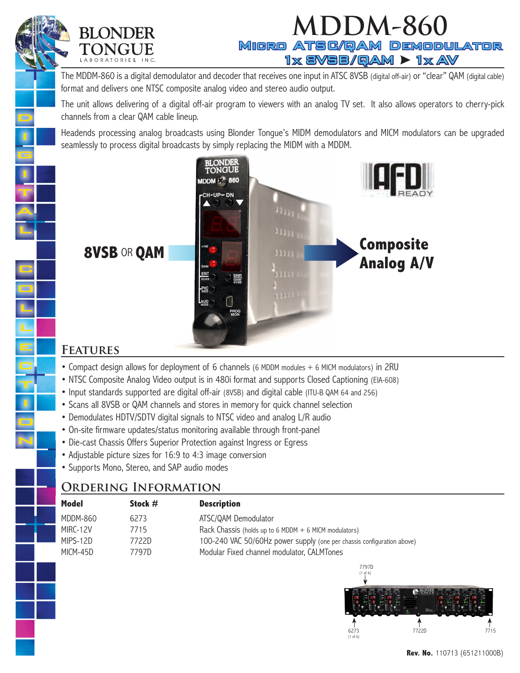

D

I

G

I

T

A

L

C

O

L

L

E

C

T

I

O

N

# **MDDM-860** Micro ATSC/QAM Demodulator  $1x$  8VSB/QAM  $\triangleright$  1x AV

The MDDM-860 is a digital demodulator and decoder that receives one input in ATSC 8VSB (digital off-air) or "clear" QAM (digital cable) format and delivers one NTSC composite analog video and stereo audio output.

The unit allows delivering of a digital off-air program to viewers with an analog TV set. It also allows operators to cherry-pick channels from a clear QAM cable lineup.

Headends processing analog broadcasts using Blonder Tongue's MIDM demodulators and MICM modulators can be upgraded seamlessly to process digital broadcasts by simply replacing the MIDM with a MDDM.



### **Features**

- Compact design allows for deployment of 6 channels (6 MDDM modules + 6 MICM modulators) in 2RU
- NTSC Composite Analog Video output is in 480i format and supports Closed Captioning (EIA-608)
- Input standards supported are digital off-air (8VSB) and digital cable (ITU-B QAM 64 and 256)
- Scans all 8VSB or QAM channels and stores in memory for quick channel selection
- Demodulates HDTV/SDTV digital signals to NTSC video and analog L/R audio
- On-site firmware updates/status monitoring available through front-panel
- Die-cast Chassis Offers Superior Protection against Ingress or Egress
- Adjustable picture sizes for 16:9 to 4:3 image conversion
- Supports Mono, Stereo, and SAP audio modes

### **Ordering Information**

| Model    | Stock # | <b>Description</b>                                                     |  |
|----------|---------|------------------------------------------------------------------------|--|
| MDDM-860 | 6273    | ATSC/QAM Demodulator                                                   |  |
| MIRC-12V | 7715    | Rack Chassis (holds up to 6 MDDM $+$ 6 MICM modulators)                |  |
| MIPS-12D | 7722D.  | 100-240 VAC 50/60Hz power supply (one per chassis configuration above) |  |
| MICM-45D | 7797D   | Modular Fixed channel modulator, CALMTones                             |  |